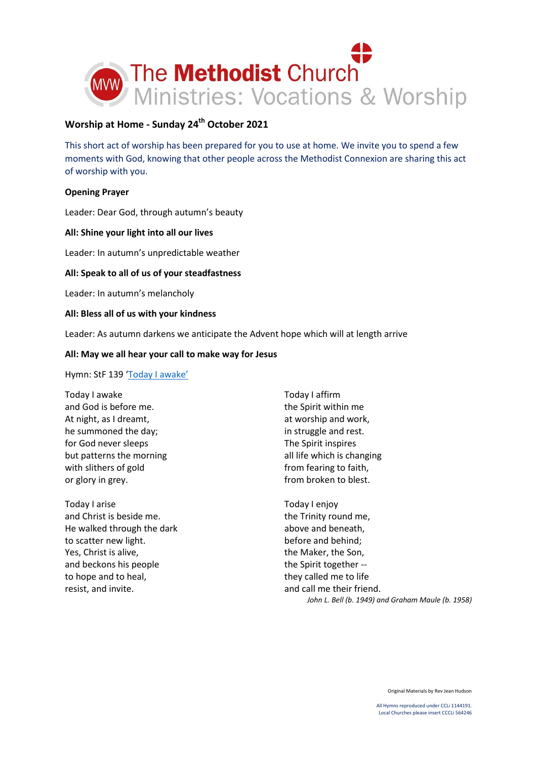

# **Worship at Home - Sunday 24th October 2021**

This short act of worship has been prepared for you to use at home. We invite you to spend a few moments with God, knowing that other people across the Methodist Connexion are sharing this act of worship with you.

## **Opening Prayer**

Leader: Dear God, through autumn's beauty

## **All: Shine your light into all our lives**

Leader: In autumn's unpredictable weather

## **All: Speak to all of us of your steadfastness**

Leader: In autumn's melancholy

#### **All: Bless all of us with your kindness**

Leader: As autumn darkens we anticipate the Advent hope which will at length arrive

#### **All: May we all hear your call to make way for Jesus**

Hymn: StF 139 ['Today I awake'](https://www.youtube.com/watch?v=zuDg-aOurxs)

- Today I awake and God is before me. At night, as I dreamt, he summoned the day; for God never sleeps but patterns the morning with slithers of gold or glory in grey.
- Today I arise and Christ is beside me. He walked through the dark to scatter new light. Yes, Christ is alive, and beckons his people to hope and to heal, resist, and invite.

Today I affirm the Spirit within me at worship and work, in struggle and rest. The Spirit inspires all life which is changing from fearing to faith, from broken to blest.

Today I enjoy the Trinity round me, above and beneath, before and behind; the Maker, the Son, the Spirit together - they called me to life and call me their friend. *John L. Bell (b. 1949) and Graham Maule (b. 1958)*

Original Materials by Rev Jean Hudson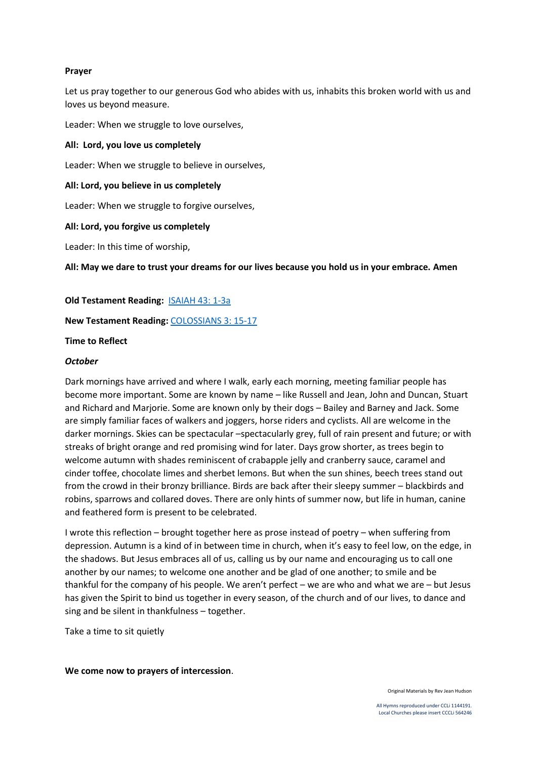## **Prayer**

Let us pray together to our generous God who abides with us, inhabits this broken world with us and loves us beyond measure.

Leader: When we struggle to love ourselves,

## **All: Lord, you love us completely**

Leader: When we struggle to believe in ourselves,

## **All: Lord, you believe in us completely**

Leader: When we struggle to forgive ourselves,

#### **All: Lord, you forgive us completely**

Leader: In this time of worship,

**All: May we dare to trust your dreams for our lives because you hold us in your embrace. Amen**

**Old Testament Reading:** [ISAIAH 43: 1-3a](https://www.biblegateway.com/passage/?search=ISAIAH+43%3A+1-3a&version=NIV)

**New Testament Reading:** [COLOSSIANS 3:](https://www.biblegateway.com/passage/?search=COLOSSIANS+3%3A+15-17&version=NIV) 15-17

#### **Time to Reflect**

#### *October*

Dark mornings have arrived and where I walk, early each morning, meeting familiar people has become more important. Some are known by name – like Russell and Jean, John and Duncan, Stuart and Richard and Marjorie. Some are known only by their dogs – Bailey and Barney and Jack. Some are simply familiar faces of walkers and joggers, horse riders and cyclists. All are welcome in the darker mornings. Skies can be spectacular –spectacularly grey, full of rain present and future; or with streaks of bright orange and red promising wind for later. Days grow shorter, as trees begin to welcome autumn with shades reminiscent of crabapple jelly and cranberry sauce, caramel and cinder toffee, chocolate limes and sherbet lemons. But when the sun shines, beech trees stand out from the crowd in their bronzy brilliance. Birds are back after their sleepy summer – blackbirds and robins, sparrows and collared doves. There are only hints of summer now, but life in human, canine and feathered form is present to be celebrated.

I wrote this reflection – brought together here as prose instead of poetry – when suffering from depression. Autumn is a kind of in between time in church, when it's easy to feel low, on the edge, in the shadows. But Jesus embraces all of us, calling us by our name and encouraging us to call one another by our names; to welcome one another and be glad of one another; to smile and be thankful for the company of his people. We aren't perfect – we are who and what we are – but Jesus has given the Spirit to bind us together in every season, of the church and of our lives, to dance and sing and be silent in thankfulness – together.

Take a time to sit quietly

**We come now to prayers of intercession**.

Original Materials by Rev Jean Hudson